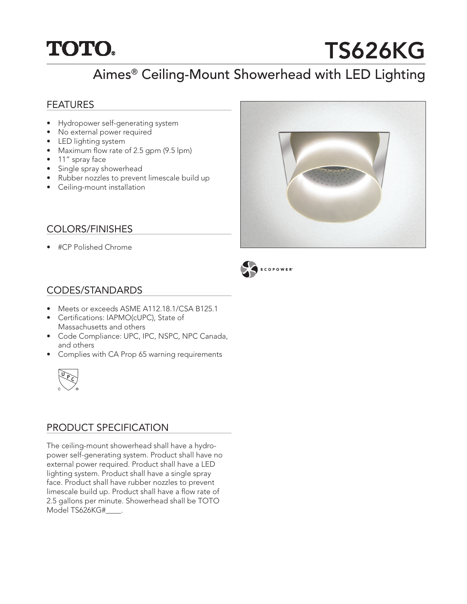## **TOTO.**

# TS626KG

## Aimes® Ceiling-Mount Showerhead with LED Lighting

#### FEATURES

- Hydropower self-generating system
- No external power required
- LED lighting system
- Maximum flow rate of 2.5 gpm (9.5 lpm)
- 11" spray face
- Single spray showerhead
- Rubber nozzles to prevent limescale build up
- Ceiling-mount installation

#### COLORS/FINISHES

• #CP Polished Chrome





#### CODES/STANDARDS

- Meets or exceeds ASME A112.18.1/CSA B125.1
- Certifications: IAPMO(cUPC), State of Massachusetts and others
- Code Compliance: UPC, IPC, NSPC, NPC Canada, and others
- Complies with CA Prop 65 warning requirements



#### PRODUCT SPECIFICATION

The ceiling-mount showerhead shall have a hydropower self-generating system. Product shall have no external power required. Product shall have a LED lighting system. Product shall have a single spray face. Product shall have rubber nozzles to prevent limescale build up. Product shall have a flow rate of 2.5 gallons per minute. Showerhead shall be TOTO Model TS626KG#\_\_\_\_.